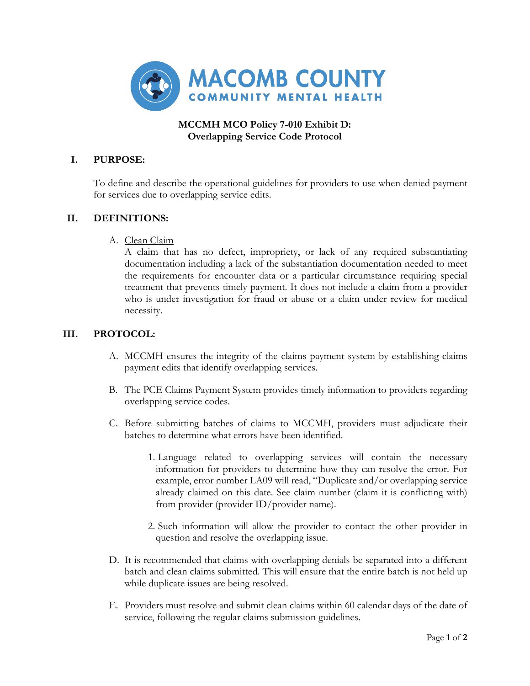

## **MCCMH MCO Policy 7-010 Exhibit D: Overlapping Service Code Protocol**

# **I. PURPOSE:**

To define and describe the operational guidelines for providers to use when denied payment for services due to overlapping service edits.

### **II. DEFINITIONS:**

A. Clean Claim

A claim that has no defect, impropriety, or lack of any required substantiating documentation including a lack of the substantiation documentation needed to meet the requirements for encounter data or a particular circumstance requiring special treatment that prevents timely payment. It does not include a claim from a provider who is under investigation for fraud or abuse or a claim under review for medical necessity.

### **III. PROTOCOL:**

- A. MCCMH ensures the integrity of the claims payment system by establishing claims payment edits that identify overlapping services.
- B. The PCE Claims Payment System provides timely information to providers regarding overlapping service codes.
- C. Before submitting batches of claims to MCCMH, providers must adjudicate their batches to determine what errors have been identified.
	- 1. Language related to overlapping services will contain the necessary information for providers to determine how they can resolve the error. For example, error number LA09 will read, "Duplicate and/or overlapping service already claimed on this date. See claim number (claim it is conflicting with) from provider (provider ID/provider name).
	- 2. Such information will allow the provider to contact the other provider in question and resolve the overlapping issue.
- D. It is recommended that claims with overlapping denials be separated into a different batch and clean claims submitted. This will ensure that the entire batch is not held up while duplicate issues are being resolved.
- E. Providers must resolve and submit clean claims within 60 calendar days of the date of service, following the regular claims submission guidelines.